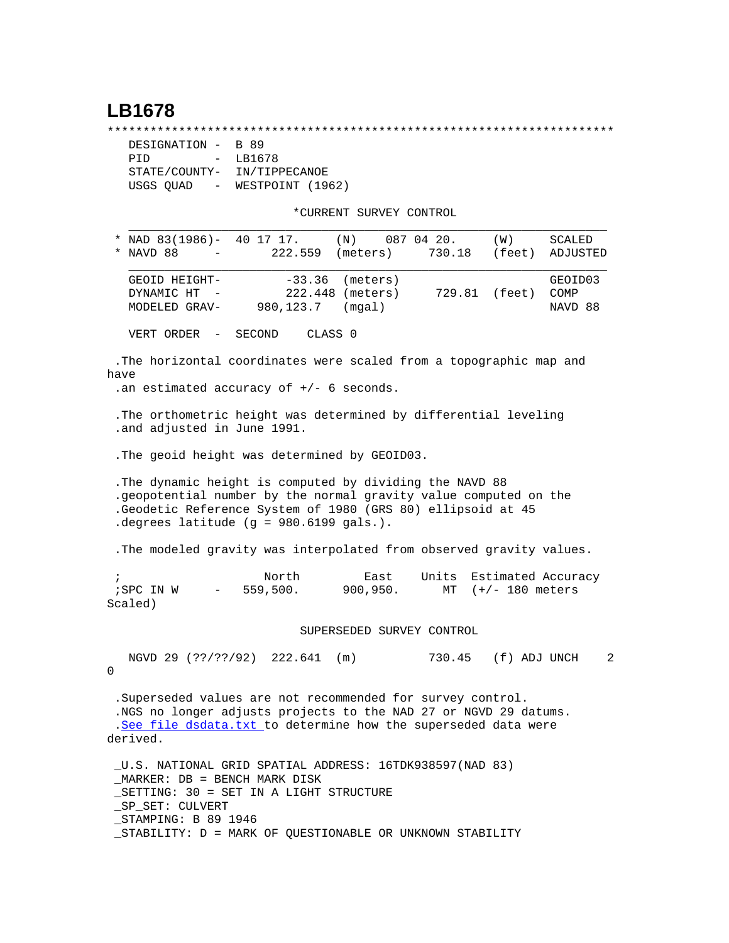## **LB1678**

\*\*\*\*\*\*\*\*\*\*\*\*\*\*\*\*\*\*\*\*\*\*\*\*\*\*\*\*\*\*\*\*\*\*\*\*\*\*\*\*\*\*\*\*\*\*\*\*\*\*\*\*\*\*\*\*\*\*\*\*\*\*\*\*\*\*\*\*\*\*\*

| DESIGNATION -                         | B 89             |  |  |  |
|---------------------------------------|------------------|--|--|--|
| PTD<br>$\sim$                         | LB1678           |  |  |  |
| STATE/COUNTY-                         | IN/TIPPECANOE    |  |  |  |
| USGS QUAD<br>$\alpha_{\rm{max}}=0.01$ | WESTPOINT (1962) |  |  |  |

\*CURRENT SURVEY CONTROL

|                                                                                                                                                                                                                                    | * NAD $83(1986)$ - 40 17 17.                                         |                    | $(N)$ 087 04 20.             |                          | (W)           | SCALED                     |  |  |  |  |
|------------------------------------------------------------------------------------------------------------------------------------------------------------------------------------------------------------------------------------|----------------------------------------------------------------------|--------------------|------------------------------|--------------------------|---------------|----------------------------|--|--|--|--|
| *                                                                                                                                                                                                                                  | NAVD 88<br>$\sim$                                                    | 222.559            | (meters)                     | 730.18                   | (feet)        | ADJUSTED                   |  |  |  |  |
|                                                                                                                                                                                                                                    | GEOID HEIGHT-<br>DYNAMIC HT<br>MODELED GRAV- 980, 123.7 (mgal)       | $-33.36$           | (meters)<br>222.448 (meters) |                          | 729.81 (feet) | GEOID03<br>COMP<br>NAVD 88 |  |  |  |  |
|                                                                                                                                                                                                                                    | VERT ORDER - SECOND                                                  | CLASS <sub>0</sub> |                              |                          |               |                            |  |  |  |  |
| The horizontal coordinates were scaled from a topographic map and<br>have<br>.an estimated accuracy of $+/-$ 6 seconds.                                                                                                            |                                                                      |                    |                              |                          |               |                            |  |  |  |  |
| .and adjusted in June 1991.                                                                                                                                                                                                        | The orthometric height was determined by differential leveling       |                    |                              |                          |               |                            |  |  |  |  |
|                                                                                                                                                                                                                                    | . The geoid height was determined by GEOID03.                        |                    |                              |                          |               |                            |  |  |  |  |
| The dynamic height is computed by dividing the NAVD 88<br>.geopotential number by the normal gravity value computed on the<br>Geodetic Reference System of 1980 (GRS 80) ellipsoid at 45<br>degrees latitude (g = 980.6199 gals.). |                                                                      |                    |                              |                          |               |                            |  |  |  |  |
|                                                                                                                                                                                                                                    | . The modeled gravity was interpolated from observed gravity values. |                    |                              |                          |               |                            |  |  |  |  |
| $\cdot$                                                                                                                                                                                                                            |                                                                      | North              | East                         | Units Estimated Accuracy |               |                            |  |  |  |  |

 ;SPC IN W - 559,500. 900,950. MT (+/- 180 meters Scaled)

SUPERSEDED SURVEY CONTROL

 NGVD 29 (??/??/92) 222.641 (m) 730.45 (f) ADJ UNCH 2  $\Omega$ 

 .Superseded values are not recommended for survey control. .NGS no longer adjusts projects to the NAD 27 or NGVD 29 datums. .[See file dsdata.txt](http://www.ngs.noaa.gov/cgi-bin/ds_lookup.prl?Item=HOW_SUP_DET) to determine how the superseded data were derived.

 \_U.S. NATIONAL GRID SPATIAL ADDRESS: 16TDK938597(NAD 83) \_MARKER: DB = BENCH MARK DISK \_SETTING: 30 = SET IN A LIGHT STRUCTURE \_SP\_SET: CULVERT \_STAMPING: B 89 1946 \_STABILITY: D = MARK OF QUESTIONABLE OR UNKNOWN STABILITY